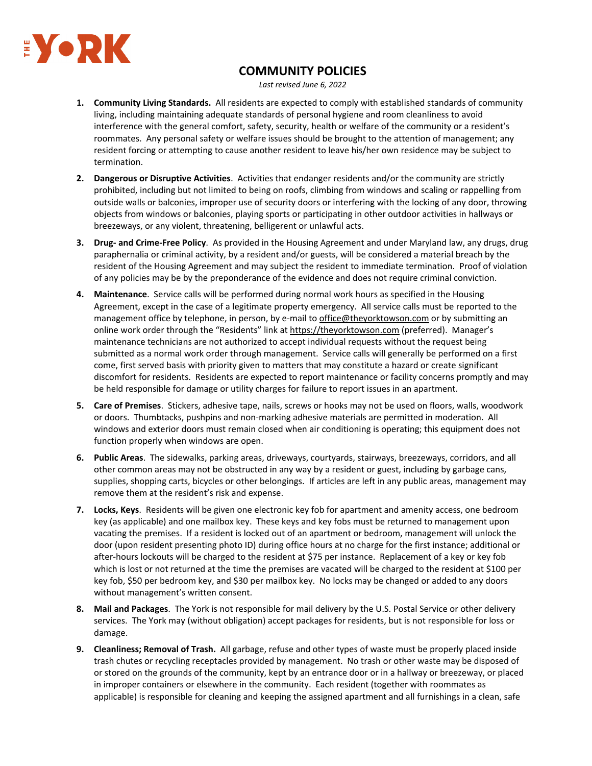

## **COMMUNITY POLICIES**

*Last revised June 6, 2022*

- **1. Community Living Standards.** All residents are expected to comply with established standards of community living, including maintaining adequate standards of personal hygiene and room cleanliness to avoid interference with the general comfort, safety, security, health or welfare of the community or a resident's roommates. Any personal safety or welfare issues should be brought to the attention of management; any resident forcing or attempting to cause another resident to leave his/her own residence may be subject to termination.
- **2. Dangerous or Disruptive Activities**. Activities that endanger residents and/or the community are strictly prohibited, including but not limited to being on roofs, climbing from windows and scaling or rappelling from outside walls or balconies, improper use of security doors or interfering with the locking of any door, throwing objects from windows or balconies, playing sports or participating in other outdoor activities in hallways or breezeways, or any violent, threatening, belligerent or unlawful acts.
- **3. Drug‐ and Crime‐Free Policy**. As provided in the Housing Agreement and under Maryland law, any drugs, drug paraphernalia or criminal activity, by a resident and/or guests, will be considered a material breach by the resident of the Housing Agreement and may subject the resident to immediate termination. Proof of violation of any policies may be by the preponderance of the evidence and does not require criminal conviction.
- **4. Maintenance**. Service calls will be performed during normal work hours as specified in the Housing Agreement, except in the case of a legitimate property emergency. All service calls must be reported to the management office by telephone, in person, by e-mail to office@theyorktowson.com or by submitting an online work order through the "Residents" link at https://theyorktowson.com (preferred). Manager's maintenance technicians are not authorized to accept individual requests without the request being submitted as a normal work order through management. Service calls will generally be performed on a first come, first served basis with priority given to matters that may constitute a hazard or create significant discomfort for residents. Residents are expected to report maintenance or facility concerns promptly and may be held responsible for damage or utility charges for failure to report issues in an apartment.
- **5. Care of Premises**. Stickers, adhesive tape, nails, screws or hooks may not be used on floors, walls, woodwork or doors. Thumbtacks, pushpins and non‐marking adhesive materials are permitted in moderation. All windows and exterior doors must remain closed when air conditioning is operating; this equipment does not function properly when windows are open.
- **6. Public Areas**. The sidewalks, parking areas, driveways, courtyards, stairways, breezeways, corridors, and all other common areas may not be obstructed in any way by a resident or guest, including by garbage cans, supplies, shopping carts, bicycles or other belongings. If articles are left in any public areas, management may remove them at the resident's risk and expense.
- **7. Locks, Keys**. Residents will be given one electronic key fob for apartment and amenity access, one bedroom key (as applicable) and one mailbox key. These keys and key fobs must be returned to management upon vacating the premises. If a resident is locked out of an apartment or bedroom, management will unlock the door (upon resident presenting photo ID) during office hours at no charge for the first instance; additional or after-hours lockouts will be charged to the resident at \$75 per instance. Replacement of a key or key fob which is lost or not returned at the time the premises are vacated will be charged to the resident at \$100 per key fob, \$50 per bedroom key, and \$30 per mailbox key. No locks may be changed or added to any doors without management's written consent.
- **8. Mail and Packages**. The York is not responsible for mail delivery by the U.S. Postal Service or other delivery services. The York may (without obligation) accept packages for residents, but is not responsible for loss or damage.
- **9. Cleanliness; Removal of Trash.** All garbage, refuse and other types of waste must be properly placed inside trash chutes or recycling receptacles provided by management. No trash or other waste may be disposed of or stored on the grounds of the community, kept by an entrance door or in a hallway or breezeway, or placed in improper containers or elsewhere in the community. Each resident (together with roommates as applicable) is responsible for cleaning and keeping the assigned apartment and all furnishings in a clean, safe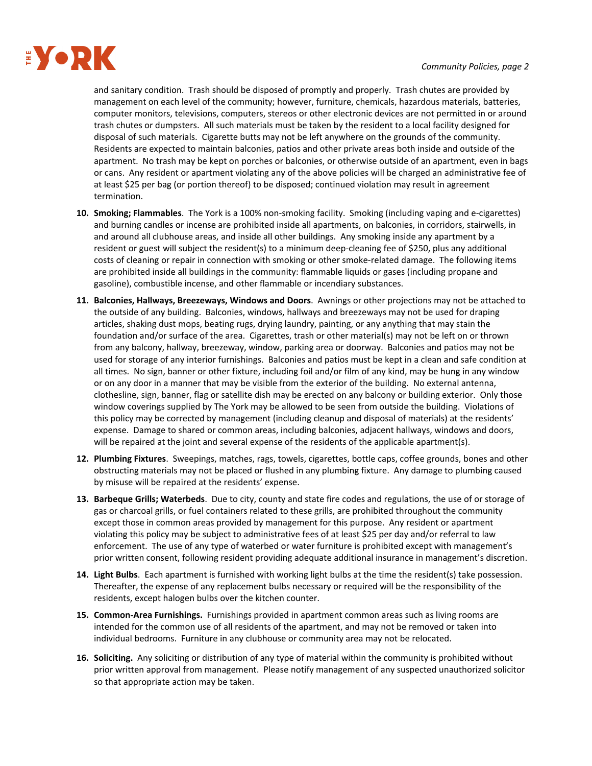

and sanitary condition. Trash should be disposed of promptly and properly. Trash chutes are provided by management on each level of the community; however, furniture, chemicals, hazardous materials, batteries, computer monitors, televisions, computers, stereos or other electronic devices are not permitted in or around trash chutes or dumpsters. All such materials must be taken by the resident to a local facility designed for disposal of such materials. Cigarette butts may not be left anywhere on the grounds of the community. Residents are expected to maintain balconies, patios and other private areas both inside and outside of the apartment. No trash may be kept on porches or balconies, or otherwise outside of an apartment, even in bags or cans. Any resident or apartment violating any of the above policies will be charged an administrative fee of at least \$25 per bag (or portion thereof) to be disposed; continued violation may result in agreement termination.

- **10. Smoking; Flammables**. The York is a 100% non‐smoking facility. Smoking (including vaping and e‐cigarettes) and burning candles or incense are prohibited inside all apartments, on balconies, in corridors, stairwells, in and around all clubhouse areas, and inside all other buildings. Any smoking inside any apartment by a resident or guest will subject the resident(s) to a minimum deep‐cleaning fee of \$250, plus any additional costs of cleaning or repair in connection with smoking or other smoke-related damage. The following items are prohibited inside all buildings in the community: flammable liquids or gases (including propane and gasoline), combustible incense, and other flammable or incendiary substances.
- **11. Balconies, Hallways, Breezeways, Windows and Doors**. Awnings or other projections may not be attached to the outside of any building. Balconies, windows, hallways and breezeways may not be used for draping articles, shaking dust mops, beating rugs, drying laundry, painting, or any anything that may stain the foundation and/or surface of the area. Cigarettes, trash or other material(s) may not be left on or thrown from any balcony, hallway, breezeway, window, parking area or doorway. Balconies and patios may not be used for storage of any interior furnishings. Balconies and patios must be kept in a clean and safe condition at all times. No sign, banner or other fixture, including foil and/or film of any kind, may be hung in any window or on any door in a manner that may be visible from the exterior of the building. No external antenna, clothesline, sign, banner, flag or satellite dish may be erected on any balcony or building exterior. Only those window coverings supplied by The York may be allowed to be seen from outside the building. Violations of this policy may be corrected by management (including cleanup and disposal of materials) at the residents' expense. Damage to shared or common areas, including balconies, adjacent hallways, windows and doors, will be repaired at the joint and several expense of the residents of the applicable apartment(s).
- **12. Plumbing Fixtures**. Sweepings, matches, rags, towels, cigarettes, bottle caps, coffee grounds, bones and other obstructing materials may not be placed or flushed in any plumbing fixture. Any damage to plumbing caused by misuse will be repaired at the residents' expense.
- **13. Barbeque Grills; Waterbeds**. Due to city, county and state fire codes and regulations, the use of or storage of gas or charcoal grills, or fuel containers related to these grills, are prohibited throughout the community except those in common areas provided by management for this purpose. Any resident or apartment violating this policy may be subject to administrative fees of at least \$25 per day and/or referral to law enforcement. The use of any type of waterbed or water furniture is prohibited except with management's prior written consent, following resident providing adequate additional insurance in management's discretion.
- **14. Light Bulbs**. Each apartment is furnished with working light bulbs at the time the resident(s) take possession. Thereafter, the expense of any replacement bulbs necessary or required will be the responsibility of the residents, except halogen bulbs over the kitchen counter.
- **15. Common‐Area Furnishings.** Furnishings provided in apartment common areas such as living rooms are intended for the common use of all residents of the apartment, and may not be removed or taken into individual bedrooms. Furniture in any clubhouse or community area may not be relocated.
- **16. Soliciting.** Any soliciting or distribution of any type of material within the community is prohibited without prior written approval from management. Please notify management of any suspected unauthorized solicitor so that appropriate action may be taken.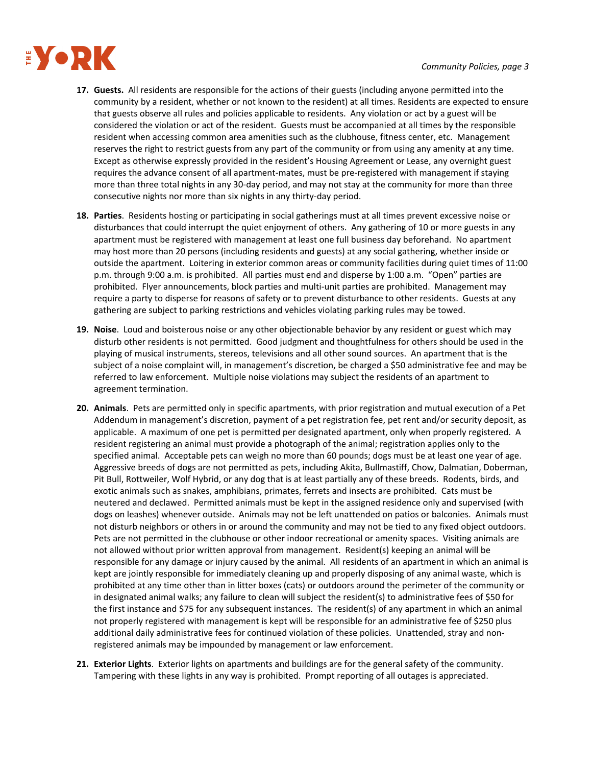

- **17. Guests.** All residents are responsible for the actions of their guests (including anyone permitted into the community by a resident, whether or not known to the resident) at all times. Residents are expected to ensure that guests observe all rules and policies applicable to residents. Any violation or act by a guest will be considered the violation or act of the resident. Guests must be accompanied at all times by the responsible resident when accessing common area amenities such as the clubhouse, fitness center, etc. Management reserves the right to restrict guests from any part of the community or from using any amenity at any time. Except as otherwise expressly provided in the resident's Housing Agreement or Lease, any overnight guest requires the advance consent of all apartment-mates, must be pre-registered with management if staying more than three total nights in any 30-day period, and may not stay at the community for more than three consecutive nights nor more than six nights in any thirty‐day period.
- **18. Parties**. Residents hosting or participating in social gatherings must at all times prevent excessive noise or disturbances that could interrupt the quiet enjoyment of others. Any gathering of 10 or more guests in any apartment must be registered with management at least one full business day beforehand. No apartment may host more than 20 persons (including residents and guests) at any social gathering, whether inside or outside the apartment. Loitering in exterior common areas or community facilities during quiet times of 11:00 p.m. through 9:00 a.m. is prohibited. All parties must end and disperse by 1:00 a.m. "Open" parties are prohibited. Flyer announcements, block parties and multi‐unit parties are prohibited. Management may require a party to disperse for reasons of safety or to prevent disturbance to other residents. Guests at any gathering are subject to parking restrictions and vehicles violating parking rules may be towed.
- **19. Noise**. Loud and boisterous noise or any other objectionable behavior by any resident or guest which may disturb other residents is not permitted. Good judgment and thoughtfulness for others should be used in the playing of musical instruments, stereos, televisions and all other sound sources. An apartment that is the subject of a noise complaint will, in management's discretion, be charged a \$50 administrative fee and may be referred to law enforcement. Multiple noise violations may subject the residents of an apartment to agreement termination.
- **20. Animals**. Pets are permitted only in specific apartments, with prior registration and mutual execution of a Pet Addendum in management's discretion, payment of a pet registration fee, pet rent and/or security deposit, as applicable. A maximum of one pet is permitted per designated apartment, only when properly registered. A resident registering an animal must provide a photograph of the animal; registration applies only to the specified animal. Acceptable pets can weigh no more than 60 pounds; dogs must be at least one year of age. Aggressive breeds of dogs are not permitted as pets, including Akita, Bullmastiff, Chow, Dalmatian, Doberman, Pit Bull, Rottweiler, Wolf Hybrid, or any dog that is at least partially any of these breeds. Rodents, birds, and exotic animals such as snakes, amphibians, primates, ferrets and insects are prohibited. Cats must be neutered and declawed. Permitted animals must be kept in the assigned residence only and supervised (with dogs on leashes) whenever outside. Animals may not be left unattended on patios or balconies. Animals must not disturb neighbors or others in or around the community and may not be tied to any fixed object outdoors. Pets are not permitted in the clubhouse or other indoor recreational or amenity spaces. Visiting animals are not allowed without prior written approval from management. Resident(s) keeping an animal will be responsible for any damage or injury caused by the animal. All residents of an apartment in which an animal is kept are jointly responsible for immediately cleaning up and properly disposing of any animal waste, which is prohibited at any time other than in litter boxes (cats) or outdoors around the perimeter of the community or in designated animal walks; any failure to clean will subject the resident(s) to administrative fees of \$50 for the first instance and \$75 for any subsequent instances. The resident(s) of any apartment in which an animal not properly registered with management is kept will be responsible for an administrative fee of \$250 plus additional daily administrative fees for continued violation of these policies. Unattended, stray and non‐ registered animals may be impounded by management or law enforcement.
- **21. Exterior Lights**. Exterior lights on apartments and buildings are for the general safety of the community. Tampering with these lights in any way is prohibited. Prompt reporting of all outages is appreciated.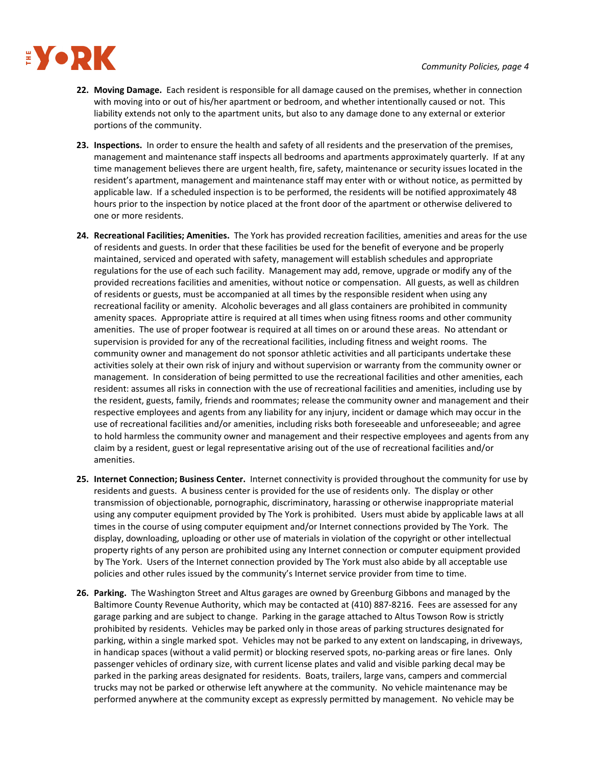

- **22. Moving Damage.** Each resident is responsible for all damage caused on the premises, whether in connection with moving into or out of his/her apartment or bedroom, and whether intentionally caused or not. This liability extends not only to the apartment units, but also to any damage done to any external or exterior portions of the community.
- 23. Inspections. In order to ensure the health and safety of all residents and the preservation of the premises, management and maintenance staff inspects all bedrooms and apartments approximately quarterly. If at any time management believes there are urgent health, fire, safety, maintenance or security issues located in the resident's apartment, management and maintenance staff may enter with or without notice, as permitted by applicable law. If a scheduled inspection is to be performed, the residents will be notified approximately 48 hours prior to the inspection by notice placed at the front door of the apartment or otherwise delivered to one or more residents.
- **24. Recreational Facilities; Amenities.** The York has provided recreation facilities, amenities and areas for the use of residents and guests. In order that these facilities be used for the benefit of everyone and be properly maintained, serviced and operated with safety, management will establish schedules and appropriate regulations for the use of each such facility. Management may add, remove, upgrade or modify any of the provided recreations facilities and amenities, without notice or compensation.All guests, as well as children of residents or guests, must be accompanied at all times by the responsible resident when using any recreational facility or amenity. Alcoholic beverages and all glass containers are prohibited in community amenity spaces. Appropriate attire is required at all times when using fitness rooms and other community amenities. The use of proper footwear is required at all times on or around these areas. No attendant or supervision is provided for any of the recreational facilities, including fitness and weight rooms. The community owner and management do not sponsor athletic activities and all participants undertake these activities solely at their own risk of injury and without supervision or warranty from the community owner or management. In consideration of being permitted to use the recreational facilities and other amenities, each resident: assumes all risks in connection with the use of recreational facilities and amenities, including use by the resident, guests, family, friends and roommates; release the community owner and management and their respective employees and agents from any liability for any injury, incident or damage which may occur in the use of recreational facilities and/or amenities, including risks both foreseeable and unforeseeable; and agree to hold harmless the community owner and management and their respective employees and agents from any claim by a resident, guest or legal representative arising out of the use of recreational facilities and/or amenities.
- **25. Internet Connection; Business Center.** Internet connectivity is provided throughout the community for use by residents and guests. A business center is provided for the use of residents only. The display or other transmission of objectionable, pornographic, discriminatory, harassing or otherwise inappropriate material using any computer equipment provided by The York is prohibited. Users must abide by applicable laws at all times in the course of using computer equipment and/or Internet connections provided by The York. The display, downloading, uploading or other use of materials in violation of the copyright or other intellectual property rights of any person are prohibited using any Internet connection or computer equipment provided by The York. Users of the Internet connection provided by The York must also abide by all acceptable use policies and other rules issued by the community's Internet service provider from time to time.
- **26. Parking.** The Washington Street and Altus garages are owned by Greenburg Gibbons and managed by the Baltimore County Revenue Authority, which may be contacted at (410) 887‐8216. Fees are assessed for any garage parking and are subject to change. Parking in the garage attached to Altus Towson Row is strictly prohibited by residents. Vehicles may be parked only in those areas of parking structures designated for parking, within a single marked spot. Vehicles may not be parked to any extent on landscaping, in driveways, in handicap spaces (without a valid permit) or blocking reserved spots, no-parking areas or fire lanes. Only passenger vehicles of ordinary size, with current license plates and valid and visible parking decal may be parked in the parking areas designated for residents. Boats, trailers, large vans, campers and commercial trucks may not be parked or otherwise left anywhere at the community. No vehicle maintenance may be performed anywhere at the community except as expressly permitted by management. No vehicle may be